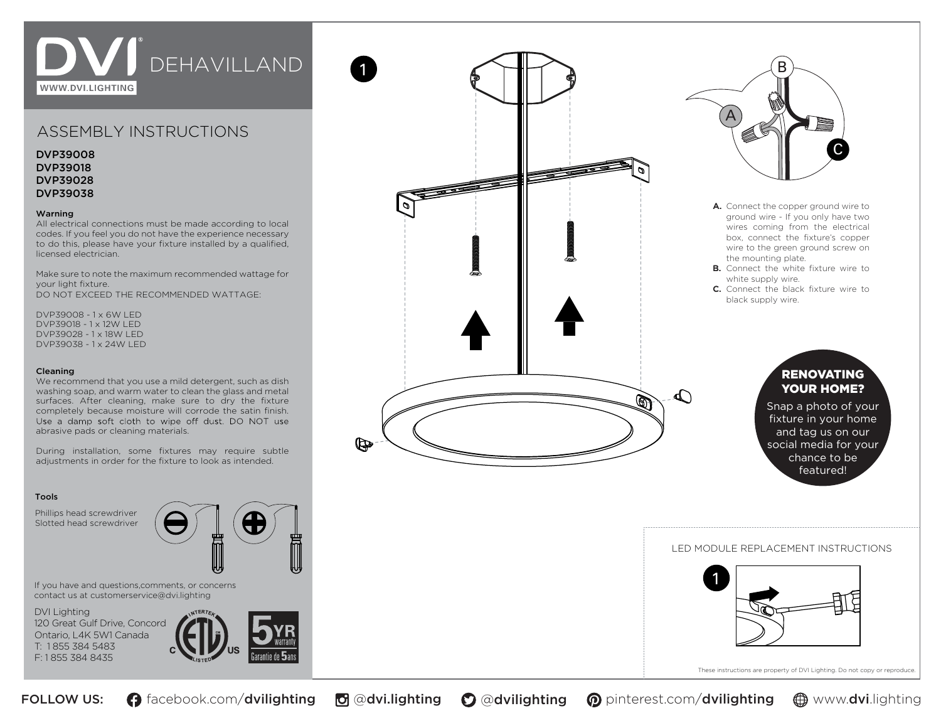# **DEHAVILLAND** WWW.DVI.LIGHTING

# ASSEMBLY INSTRUCTIONS

# DVP39008 DVP39018 DVP39028 DVP39038

### Warning

All electrical connections must be made according to local codes. If you feel you do not have the experience necessary to do this, please have your fixture installed by a qualified, licensed electrician.

Make sure to note the maximum recommended wattage for your light fixture. DO NOT EXCEED THE RECOMMENDED WATTAGE:

DVP39008 - 1 x 6W LED DVP39018 - 1 x 12W LED DVP39028 - 1 x 18W LED DVP39038 - 1 x 24W LED

### Cleaning

We recommend that you use a mild detergent, such as dish washing soap, and warm water to clean the glass and metal surfaces. After cleaning, make sure to dry the fixture completely because moisture will corrode the satin finish. Use a damp soft cloth to wipe off dust. DO NOT use abrasive pads or cleaning materials.

During installation, some fixtures may require subtle adjustments in order for the fixture to look as intended.

#### Tools

Phillips head screwdriver Slotted head screwdriver



If you have and questions,comments, or concerns contact us at customerservice@dvi.lighting

DVI Lighting 120 Great Gulf Drive, Concord Ontario, L4K 5W1 Canada T: 1 855 384 5483 F: 1 855 384 8435







- A. Connect the copper ground wire to ground wire - If you only have two wires coming from the electrical box, connect the fixture's copper wire to the green ground screw on the mounting plate.
- B. Connect the white fixture wire to white supply wire.
- C. Connect the black fixture wire to black supply wire.

# RENOVATING YOUR HOME?

Snap a photo of your fixture in your home and tag us on our social media for your chance to be featured!

## LED MODULE REPLACEMENT INSTRUCTIONS



These instructions are property of DVI Lighting. Do not copy or reproduce.